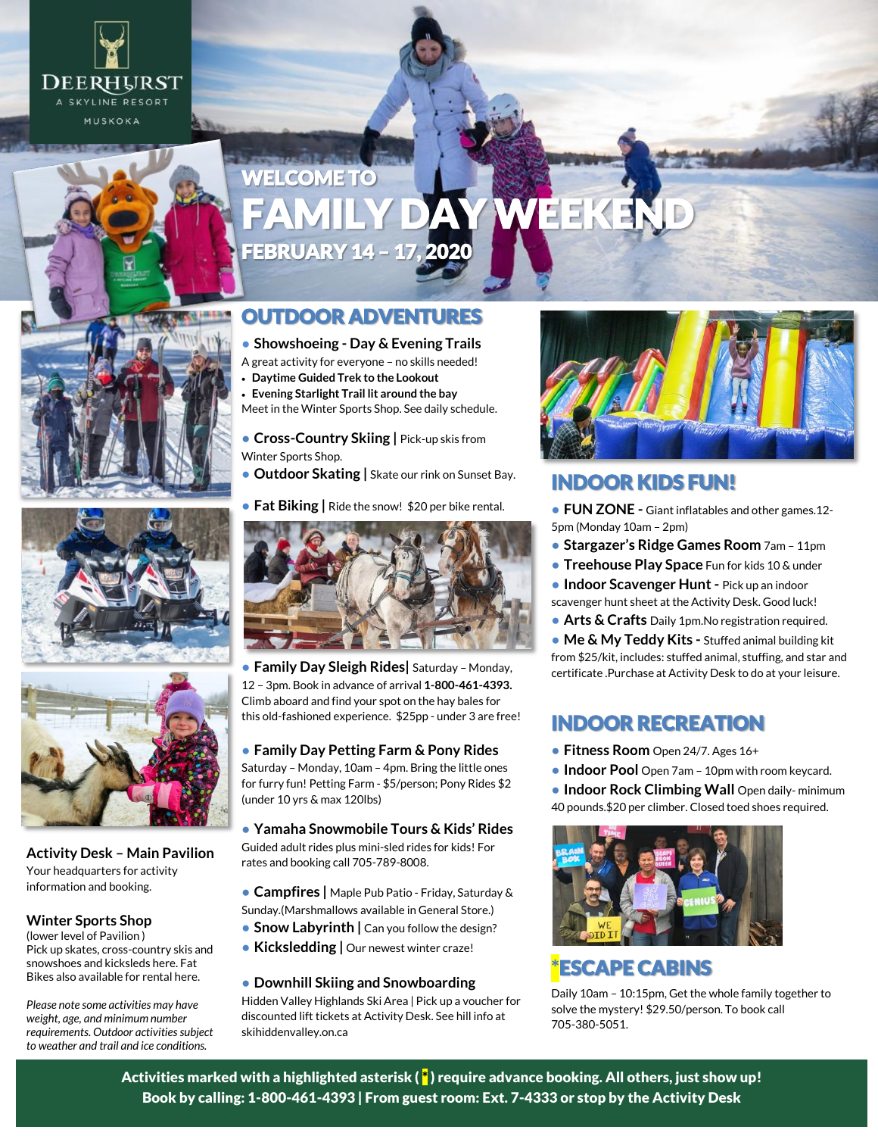

# WELCOME TO EEKEN FEBRUARY 14 – 17, 2020

### OUTDOOR ADVENTURES

#### **● Showshoeing - Day & Evening Trails**

- A great activity for everyone no skills needed!
- **Daytime Guided Trek to the Lookout**
- **Evening Starlight Trail lit around the bay**

Meet in the Winter Sports Shop. See daily schedule.

● **Cross-Country Skiing |** Pick-up skis from Winter Sports Shop.

- **Outdoor Skating |** Skate our rink on Sunset Bay.
- **Fat Biking |** Ride the snow! \$20 per bike rental.



● **Family Day Sleigh Rides|** Saturday – Monday, 12 – 3pm. Book in advance of arrival **1-800-461-4393.** Climb aboard and find your spot on the hay bales for this old-fashioned experience. \$25pp - under 3 are free!

● **Family Day Petting Farm & Pony Rides** Saturday – Monday, 10am – 4pm. Bring the little ones for furry fun! Petting Farm - \$5/person; Pony Rides \$2 (under 10 yrs & max 120lbs)

● **Yamaha Snowmobile Tours & Kids' Rides** Guided adult rides plus mini-sled rides for kids! For rates and booking call 705-789-8008.

- **Campfires |** Maple Pub Patio Friday, Saturday & Sunday.(Marshmallows available in General Store.)
- **Snow Labyrinth** | Can you follow the design?
- **Kicksledding | Our newest winter craze!**

#### ● **Downhill Skiing and Snowboarding**

Hidden Valley Highlands Ski Area | Pick up a voucher for discounted lift tickets at Activity Desk. See hill info at skihiddenvalley.on.ca



#### INDOOR KIDS FUN!

● **FUN ZONE -** Giant inflatables and other games.12- 5pm (Monday 10am – 2pm)

● **Stargazer's Ridge Games Room** 7am – 11pm

● **Treehouse Play Space** Fun for kids 10 & under

● **Indoor Scavenger Hunt -** Pick up an indoor scavenger hunt sheet at the Activity Desk. Good luck!

● **Arts & Crafts** Daily 1pm.No registration required.

● **Me & My Teddy Kits -** Stuffed animal building kit from \$25/kit, includes: stuffed animal, stuffing, and star and certificate .Purchase at Activity Desk to do at your leisure.

### INDOOR RECREATION

- **Fitness Room** Open 24/7. Ages 16+
- **Indoor Pool** Open 7am 10pm with room keycard.

**• Indoor Rock Climbing Wall** Open daily- minimum 40 pounds.\$20 per climber. Closed toed shoes required.



## \*ESCAPE CABINS

Daily 10am – 10:15pm, Get the whole family together to solve the mystery! \$29.50/person. To book call 705-380-5051.







**Activity Desk – Main Pavilion** Your headquarters for activity information and booking.

#### **Winter Sports Shop**

(lower level of Pavilion ) Pick up skates, cross-country skis and snowshoes and kicksleds here. Fat Bikes also available for rental here.

*Please note some activities may have weight, age, and minimum number requirements. Outdoor activities subject to weather and trail and ice conditions.*